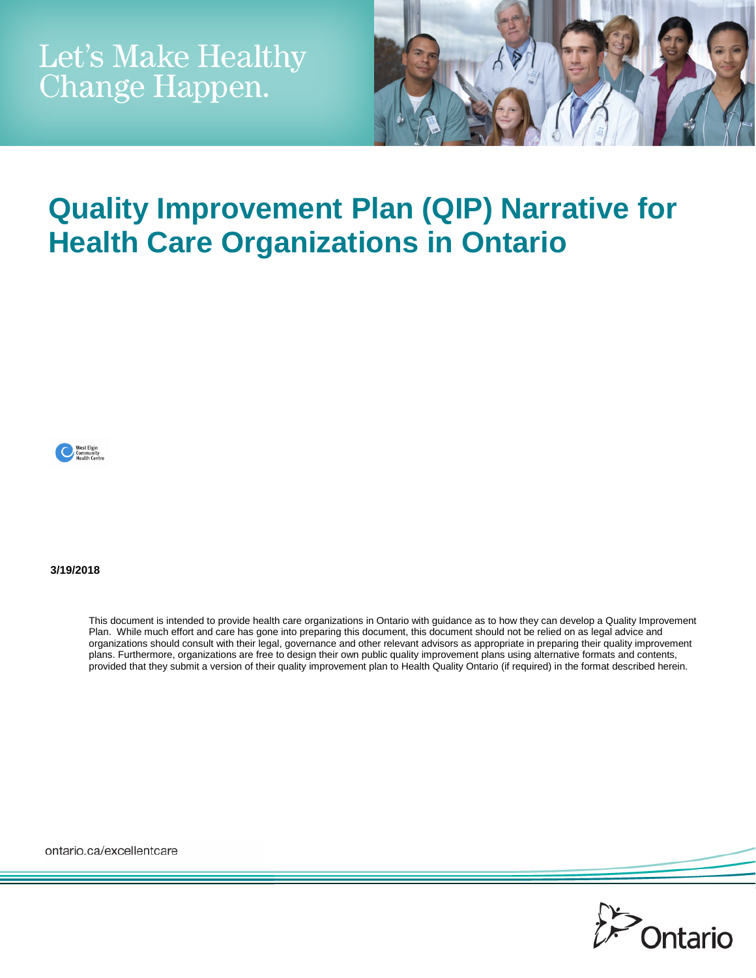

# **Quality Improvement Plan (QIP) Narrative for Health Care Organizations in Ontario**



**3/19/2018**

This document is intended to provide health care organizations in Ontario with guidance as to how they can develop a Quality Improvement Plan. While much effort and care has gone into preparing this document, this document should not be relied on as legal advice and organizations should consult with their legal, governance and other relevant advisors as appropriate in preparing their quality improvement plans. Furthermore, organizations are free to design their own public quality improvement plans using alternative formats and contents, provided that they submit a version of their quality improvement plan to Health Quality Ontario (if required) in the format described herein.

ontario.ca/excellentcare

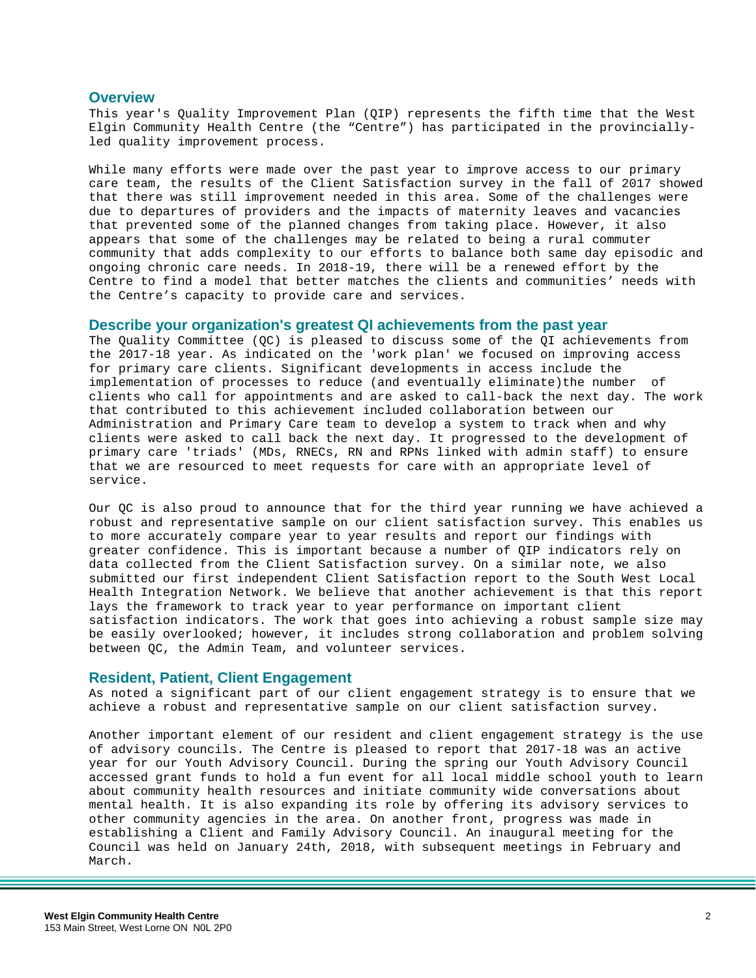## **Overview**

This year's Quality Improvement Plan (QIP) represents the fifth time that the West Elgin Community Health Centre (the "Centre") has participated in the provinciallyled quality improvement process.

While many efforts were made over the past year to improve access to our primary care team, the results of the Client Satisfaction survey in the fall of 2017 showed that there was still improvement needed in this area. Some of the challenges were due to departures of providers and the impacts of maternity leaves and vacancies that prevented some of the planned changes from taking place. However, it also appears that some of the challenges may be related to being a rural commuter community that adds complexity to our efforts to balance both same day episodic and ongoing chronic care needs. In 2018-19, there will be a renewed effort by the Centre to find a model that better matches the clients and communities' needs with the Centre's capacity to provide care and services.

#### **Describe your organization's greatest QI achievements from the past year**

The Quality Committee (QC) is pleased to discuss some of the QI achievements from the 2017-18 year. As indicated on the 'work plan' we focused on improving access for primary care clients. Significant developments in access include the implementation of processes to reduce (and eventually eliminate)the number of clients who call for appointments and are asked to call-back the next day. The work that contributed to this achievement included collaboration between our Administration and Primary Care team to develop a system to track when and why clients were asked to call back the next day. It progressed to the development of primary care 'triads' (MDs, RNECs, RN and RPNs linked with admin staff) to ensure that we are resourced to meet requests for care with an appropriate level of service.

Our QC is also proud to announce that for the third year running we have achieved a robust and representative sample on our client satisfaction survey. This enables us to more accurately compare year to year results and report our findings with greater confidence. This is important because a number of QIP indicators rely on data collected from the Client Satisfaction survey. On a similar note, we also submitted our first independent Client Satisfaction report to the South West Local Health Integration Network. We believe that another achievement is that this report lays the framework to track year to year performance on important client satisfaction indicators. The work that goes into achieving a robust sample size may be easily overlooked; however, it includes strong collaboration and problem solving between QC, the Admin Team, and volunteer services.

## **Resident, Patient, Client Engagement**

As noted a significant part of our client engagement strategy is to ensure that we achieve a robust and representative sample on our client satisfaction survey.

Another important element of our resident and client engagement strategy is the use of advisory councils. The Centre is pleased to report that 2017-18 was an active year for our Youth Advisory Council. During the spring our Youth Advisory Council accessed grant funds to hold a fun event for all local middle school youth to learn about community health resources and initiate community wide conversations about mental health. It is also expanding its role by offering its advisory services to other community agencies in the area. On another front, progress was made in establishing a Client and Family Advisory Council. An inaugural meeting for the Council was held on January 24th, 2018, with subsequent meetings in February and March.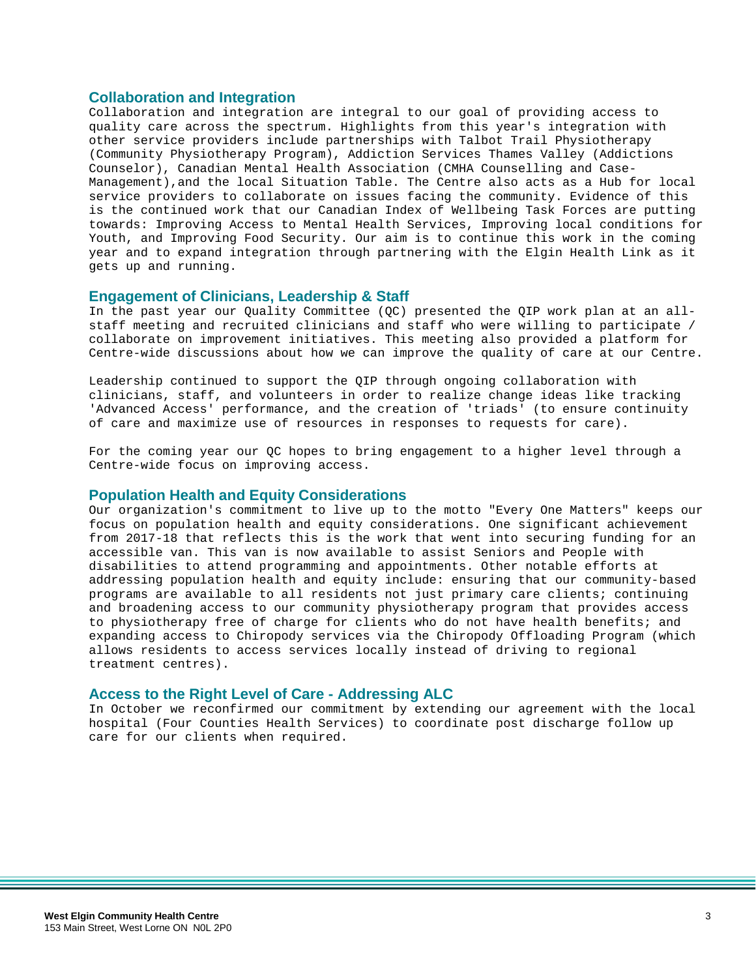## **Collaboration and Integration**

Collaboration and integration are integral to our goal of providing access to quality care across the spectrum. Highlights from this year's integration with other service providers include partnerships with Talbot Trail Physiotherapy (Community Physiotherapy Program), Addiction Services Thames Valley (Addictions Counselor), Canadian Mental Health Association (CMHA Counselling and Case-Management),and the local Situation Table. The Centre also acts as a Hub for local service providers to collaborate on issues facing the community. Evidence of this is the continued work that our Canadian Index of Wellbeing Task Forces are putting towards: Improving Access to Mental Health Services, Improving local conditions for Youth, and Improving Food Security. Our aim is to continue this work in the coming year and to expand integration through partnering with the Elgin Health Link as it gets up and running.

### **Engagement of Clinicians, Leadership & Staff**

In the past year our Quality Committee (QC) presented the QIP work plan at an allstaff meeting and recruited clinicians and staff who were willing to participate / collaborate on improvement initiatives. This meeting also provided a platform for Centre-wide discussions about how we can improve the quality of care at our Centre.

Leadership continued to support the QIP through ongoing collaboration with clinicians, staff, and volunteers in order to realize change ideas like tracking 'Advanced Access' performance, and the creation of 'triads' (to ensure continuity of care and maximize use of resources in responses to requests for care).

For the coming year our QC hopes to bring engagement to a higher level through a Centre-wide focus on improving access.

#### **Population Health and Equity Considerations**

Our organization's commitment to live up to the motto "Every One Matters" keeps our focus on population health and equity considerations. One significant achievement from 2017-18 that reflects this is the work that went into securing funding for an accessible van. This van is now available to assist Seniors and People with disabilities to attend programming and appointments. Other notable efforts at addressing population health and equity include: ensuring that our community-based programs are available to all residents not just primary care clients; continuing and broadening access to our community physiotherapy program that provides access to physiotherapy free of charge for clients who do not have health benefits; and expanding access to Chiropody services via the Chiropody Offloading Program (which allows residents to access services locally instead of driving to regional treatment centres).

#### **Access to the Right Level of Care - Addressing ALC**

In October we reconfirmed our commitment by extending our agreement with the local hospital (Four Counties Health Services) to coordinate post discharge follow up care for our clients when required.